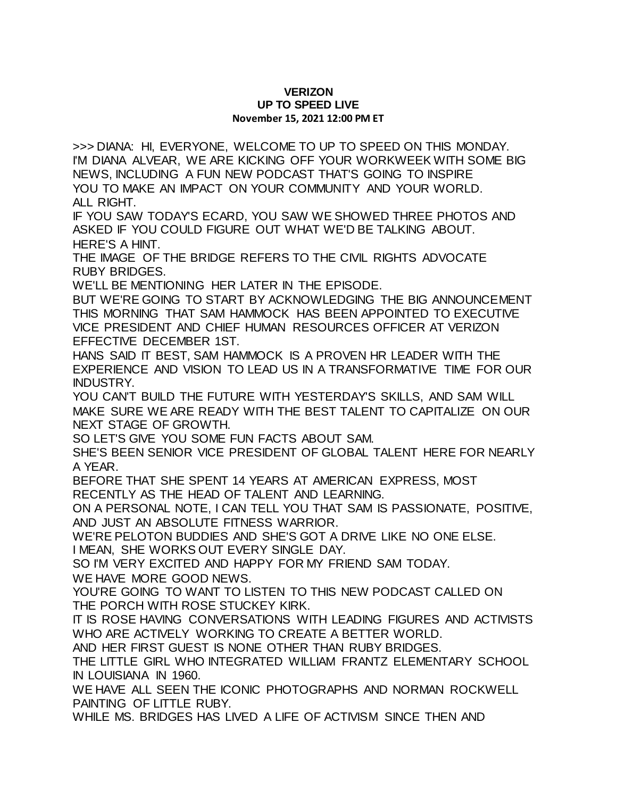## **VERIZON UP TO SPEED LIVE November 15, 2021 12:00 PM ET**

>>> DIANA: HI, EVERYONE, WELCOME TO UP TO SPEED ON THIS MONDAY. I'M DIANA ALVEAR, WE ARE KICKING OFF YOUR WORKWEEK WITH SOME BIG NEWS, INCLUDING A FUN NEW PODCAST THAT'S GOING TO INSPIRE YOU TO MAKE AN IMPACT ON YOUR COMMUNITY AND YOUR WORLD. ALL RIGHT.

IF YOU SAW TODAY'S ECARD, YOU SAW WE SHOWED THREE PHOTOS AND ASKED IF YOU COULD FIGURE OUT WHAT WE'D BE TALKING ABOUT. HERE'S A HINT.

THE IMAGE OF THE BRIDGE REFERS TO THE CIVIL RIGHTS ADVOCATE RUBY BRIDGES.

WE'LL BE MENTIONING HER LATER IN THE EPISODE.

BUT WE'RE GOING TO START BY ACKNOWLEDGING THE BIG ANNOUNCEMENT THIS MORNING THAT SAM HAMMOCK HAS BEEN APPOINTED TO EXECUTIVE VICE PRESIDENT AND CHIEF HUMAN RESOURCES OFFICER AT VERIZON EFFECTIVE DECEMBER 1ST.

HANS SAID IT BEST, SAM HAMMOCK IS A PROVEN HR LEADER WITH THE EXPERIENCE AND VISION TO LEAD US IN A TRANSFORMATIVE TIME FOR OUR INDUSTRY.

YOU CAN'T BUILD THE FUTURE WITH YESTERDAY'S SKILLS, AND SAM WILL MAKE SURE WE ARE READY WITH THE BEST TALENT TO CAPITALIZE ON OUR NEXT STAGE OF GROWTH.

SO LET'S GIVE YOU SOME FUN FACTS ABOUT SAM.

SHE'S BEEN SENIOR VICE PRESIDENT OF GLOBAL TALENT HERE FOR NEARLY A YEAR.

BEFORE THAT SHE SPENT 14 YEARS AT AMERICAN EXPRESS, MOST RECENTLY AS THE HEAD OF TALENT AND LEARNING.

ON A PERSONAL NOTE, I CAN TELL YOU THAT SAM IS PASSIONATE, POSITIVE, AND JUST AN ABSOLUTE FITNESS WARRIOR.

WE'RE PELOTON BUDDIES AND SHE'S GOT A DRIVE LIKE NO ONE ELSE.

I MEAN, SHE WORKS OUT EVERY SINGLE DAY.

SO I'M VERY EXCITED AND HAPPY FOR MY FRIEND SAM TODAY.

WE HAVE MORE GOOD NEWS.

YOU'RE GOING TO WANT TO LISTEN TO THIS NEW PODCAST CALLED ON THE PORCH WITH ROSE STUCKEY KIRK.

IT IS ROSE HAVING CONVERSATIONS WITH LEADING FIGURES AND ACTIVISTS WHO ARE ACTIVELY WORKING TO CREATE A BETTER WORLD.

AND HER FIRST GUEST IS NONE OTHER THAN RUBY BRIDGES.

THE LITTLE GIRL WHO INTEGRATED WILLIAM FRANTZ ELEMENTARY SCHOOL IN LOUISIANA IN 1960.

WE HAVE ALL SEEN THE ICONIC PHOTOGRAPHS AND NORMAN ROCKWELL PAINTING OF LITTLE RUBY.

WHILE MS. BRIDGES HAS LIVED A LIFE OF ACTIVISM SINCE THEN AND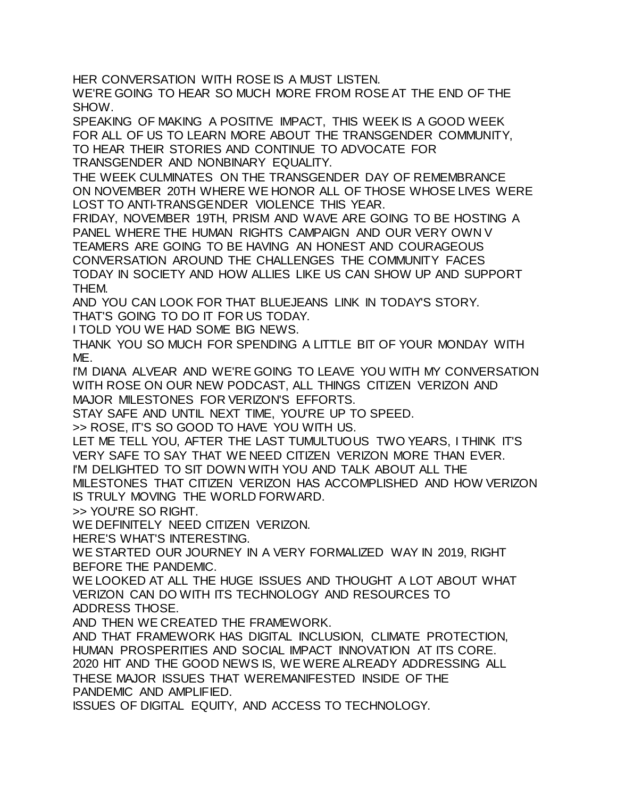HER CONVERSATION WITH ROSE IS A MUST LISTEN. WE'RE GOING TO HEAR SO MUCH MORE FROM ROSE AT THE END OF THE SHOW.

SPEAKING OF MAKING A POSITIVE IMPACT, THIS WEEK IS A GOOD WEEK FOR ALL OF US TO LEARN MORE ABOUT THE TRANSGENDER COMMUNITY, TO HEAR THEIR STORIES AND CONTINUE TO ADVOCATE FOR TRANSGENDER AND NONBINARY EQUALITY.

THE WEEK CULMINATES ON THE TRANSGENDER DAY OF REMEMBRANCE ON NOVEMBER 20TH WHERE WE HONOR ALL OF THOSE WHOSE LIVES WERE LOST TO ANTI-TRANSGENDER VIOLENCE THIS YEAR.

FRIDAY, NOVEMBER 19TH, PRISM AND WAVE ARE GOING TO BE HOSTING A PANEL WHERE THE HUMAN RIGHTS CAMPAIGN AND OUR VERY OWN V TEAMERS ARE GOING TO BE HAVING AN HONEST AND COURAGEOUS CONVERSATION AROUND THE CHALLENGES THE COMMUNITY FACES TODAY IN SOCIETY AND HOW ALLIES LIKE US CAN SHOW UP AND SUPPORT THEM.

AND YOU CAN LOOK FOR THAT BLUEJEANS LINK IN TODAY'S STORY.

THAT'S GOING TO DO IT FOR US TODAY.

I TOLD YOU WE HAD SOME BIG NEWS.

THANK YOU SO MUCH FOR SPENDING A LITTLE BIT OF YOUR MONDAY WITH ME.

I'M DIANA ALVEAR AND WE'RE GOING TO LEAVE YOU WITH MY CONVERSATION WITH ROSE ON OUR NEW PODCAST, ALL THINGS CITIZEN VERIZON AND MAJOR MILESTONES FOR VERIZON'S EFFORTS.

STAY SAFE AND UNTIL NEXT TIME, YOU'RE UP TO SPEED.

>> ROSE, IT'S SO GOOD TO HAVE YOU WITH US.

LET ME TELL YOU, AFTER THE LAST TUMULTUOUS TWO YEARS, I THINK IT'S VERY SAFE TO SAY THAT WE NEED CITIZEN VERIZON MORE THAN EVER.

I'M DELIGHTED TO SIT DOWN WITH YOU AND TALK ABOUT ALL THE

MILESTONES THAT CITIZEN VERIZON HAS ACCOMPLISHED AND HOW VERIZON IS TRULY MOVING THE WORLD FORWARD.

>> YOU'RE SO RIGHT.

WE DEFINITELY NEED CITIZEN VERIZON.

HERE'S WHAT'S INTERESTING.

WE STARTED OUR JOURNEY IN A VERY FORMALIZED WAY IN 2019, RIGHT BEFORE THE PANDEMIC.

WE LOOKED AT ALL THE HUGE ISSUES AND THOUGHT A LOT ABOUT WHAT VERIZON CAN DO WITH ITS TECHNOLOGY AND RESOURCES TO ADDRESS THOSE.

AND THEN WE CREATED THE FRAMEWORK.

AND THAT FRAMEWORK HAS DIGITAL INCLUSION, CLIMATE PROTECTION, HUMAN PROSPERITIES AND SOCIAL IMPACT INNOVATION AT ITS CORE. 2020 HIT AND THE GOOD NEWS IS, WE WERE ALREADY ADDRESSING ALL THESE MAJOR ISSUES THAT WEREMANIFESTED INSIDE OF THE PANDEMIC AND AMPLIFIED.

ISSUES OF DIGITAL EQUITY, AND ACCESS TO TECHNOLOGY.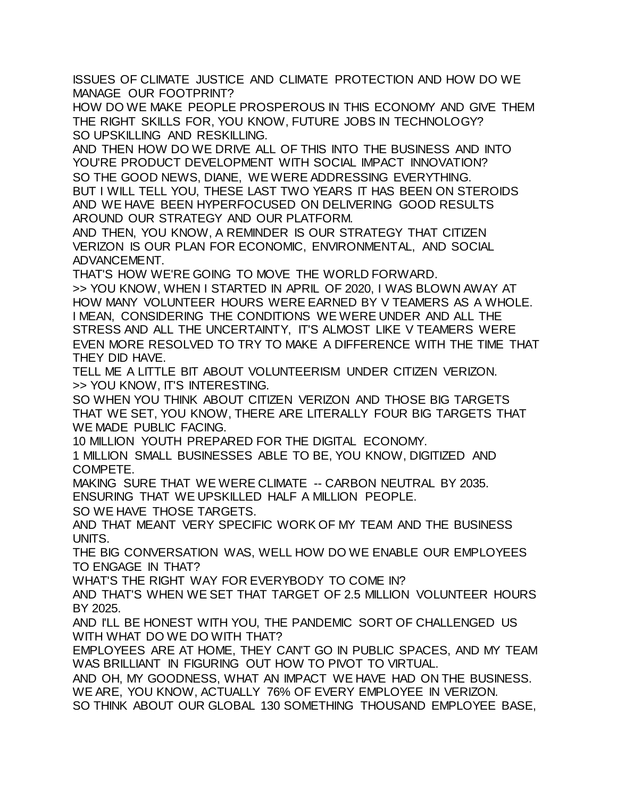ISSUES OF CLIMATE JUSTICE AND CLIMATE PROTECTION AND HOW DO WE MANAGE OUR FOOTPRINT?

HOW DO WE MAKE PEOPLE PROSPEROUS IN THIS ECONOMY AND GIVE THEM THE RIGHT SKILLS FOR, YOU KNOW, FUTURE JOBS IN TECHNOLOGY? SO UPSKILLING AND RESKILLING.

AND THEN HOW DO WE DRIVE ALL OF THIS INTO THE BUSINESS AND INTO YOU'RE PRODUCT DEVELOPMENT WITH SOCIAL IMPACT INNOVATION? SO THE GOOD NEWS, DIANE, WE WERE ADDRESSING EVERYTHING. BUT I WILL TELL YOU, THESE LAST TWO YEARS IT HAS BEEN ON STEROIDS AND WE HAVE BEEN HYPERFOCUSED ON DELIVERING GOOD RESULTS AROUND OUR STRATEGY AND OUR PLATFORM.

AND THEN, YOU KNOW, A REMINDER IS OUR STRATEGY THAT CITIZEN VERIZON IS OUR PLAN FOR ECONOMIC, ENVIRONMENTAL, AND SOCIAL ADVANCEMENT.

THAT'S HOW WE'RE GOING TO MOVE THE WORLD FORWARD.

>> YOU KNOW, WHEN I STARTED IN APRIL OF 2020, I WAS BLOWN AWAY AT HOW MANY VOLUNTEER HOURS WERE EARNED BY V TEAMERS AS A WHOLE. I MEAN, CONSIDERING THE CONDITIONS WE WERE UNDER AND ALL THE STRESS AND ALL THE UNCERTAINTY, IT'S ALMOST LIKE V TEAMERS WERE EVEN MORE RESOLVED TO TRY TO MAKE A DIFFERENCE WITH THE TIME THAT THEY DID HAVE.

TELL ME A LITTLE BIT ABOUT VOLUNTEERISM UNDER CITIZEN VERIZON. >> YOU KNOW, IT'S INTERESTING.

SO WHEN YOU THINK ABOUT CITIZEN VERIZON AND THOSE BIG TARGETS THAT WE SET, YOU KNOW, THERE ARE LITERALLY FOUR BIG TARGETS THAT WE MADE PUBLIC FACING.

10 MILLION YOUTH PREPARED FOR THE DIGITAL ECONOMY.

1 MILLION SMALL BUSINESSES ABLE TO BE, YOU KNOW, DIGITIZED AND COMPETE.

MAKING SURE THAT WE WERE CLIMATE -- CARBON NEUTRAL BY 2035. ENSURING THAT WE UPSKILLED HALF A MILLION PEOPLE.

SO WE HAVE THOSE TARGETS.

AND THAT MEANT VERY SPECIFIC WORK OF MY TEAM AND THE BUSINESS UNITS.

THE BIG CONVERSATION WAS, WELL HOW DO WE ENABLE OUR EMPLOYEES TO ENGAGE IN THAT?

WHAT'S THE RIGHT WAY FOR EVERYBODY TO COME IN?

AND THAT'S WHEN WE SET THAT TARGET OF 2.5 MILLION VOLUNTEER HOURS BY 2025.

AND I'LL BE HONEST WITH YOU, THE PANDEMIC SORT OF CHALLENGED US WITH WHAT DO WE DO WITH THAT?

EMPLOYEES ARE AT HOME, THEY CAN'T GO IN PUBLIC SPACES, AND MY TEAM WAS BRILLIANT IN FIGURING OUT HOW TO PIVOT TO VIRTUAL.

AND OH, MY GOODNESS, WHAT AN IMPACT WE HAVE HAD ON THE BUSINESS. WE ARE, YOU KNOW, ACTUALLY 76% OF EVERY EMPLOYEE IN VERIZON.

SO THINK ABOUT OUR GLOBAL 130 SOMETHING THOUSAND EMPLOYEE BASE,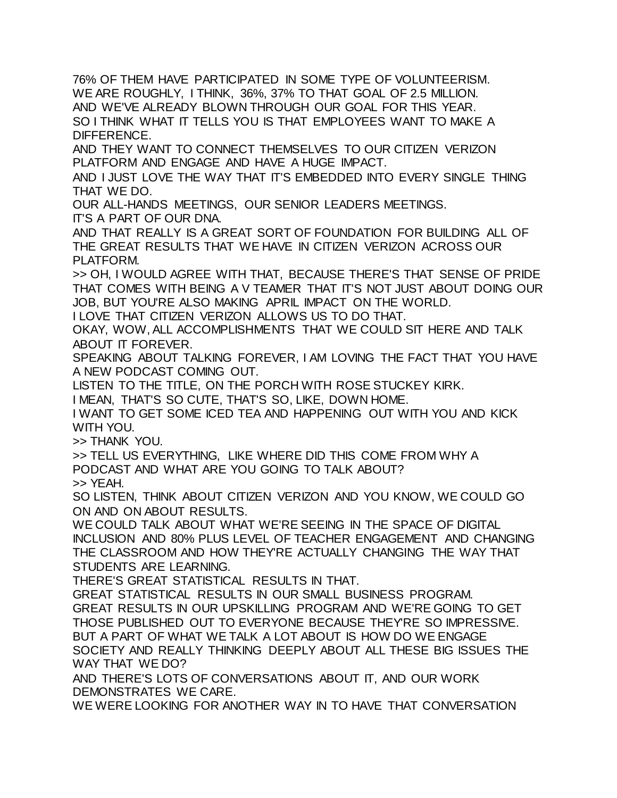76% OF THEM HAVE PARTICIPATED IN SOME TYPE OF VOLUNTEERISM. WE ARE ROUGHLY, I THINK, 36%, 37% TO THAT GOAL OF 2.5 MILLION. AND WE'VE ALREADY BLOWN THROUGH OUR GOAL FOR THIS YEAR. SO I THINK WHAT IT TELLS YOU IS THAT EMPLOYEES WANT TO MAKE A DIFFERENCE.

AND THEY WANT TO CONNECT THEMSELVES TO OUR CITIZEN VERIZON PLATFORM AND ENGAGE AND HAVE A HUGE IMPACT.

AND I JUST LOVE THE WAY THAT IT'S EMBEDDED INTO EVERY SINGLE THING THAT WE DO.

OUR ALL-HANDS MEETINGS, OUR SENIOR LEADERS MEETINGS.

IT'S A PART OF OUR DNA.

AND THAT REALLY IS A GREAT SORT OF FOUNDATION FOR BUILDING ALL OF THE GREAT RESULTS THAT WE HAVE IN CITIZEN VERIZON ACROSS OUR PLATFORM.

>> OH, I WOULD AGREE WITH THAT, BECAUSE THERE'S THAT SENSE OF PRIDE THAT COMES WITH BEING A V TEAMER THAT IT'S NOT JUST ABOUT DOING OUR JOB, BUT YOU'RE ALSO MAKING APRIL IMPACT ON THE WORLD.

I LOVE THAT CITIZEN VERIZON ALLOWS US TO DO THAT.

OKAY, WOW, ALL ACCOMPLISHMENTS THAT WE COULD SIT HERE AND TALK ABOUT IT FOREVER.

SPEAKING ABOUT TALKING FOREVER, I AM LOVING THE FACT THAT YOU HAVE A NEW PODCAST COMING OUT.

LISTEN TO THE TITLE, ON THE PORCH WITH ROSE STUCKEY KIRK.

I MEAN, THAT'S SO CUTE, THAT'S SO, LIKE, DOWN HOME.

I WANT TO GET SOME ICED TEA AND HAPPENING OUT WITH YOU AND KICK WITH YOU.

>> THANK YOU.

>> TELL US EVERYTHING, LIKE WHERE DID THIS COME FROM WHY A PODCAST AND WHAT ARE YOU GOING TO TALK ABOUT? >> YEAH.

SO LISTEN, THINK ABOUT CITIZEN VERIZON AND YOU KNOW, WE COULD GO ON AND ON ABOUT RESULTS.

WE COULD TALK ABOUT WHAT WE'RE SEEING IN THE SPACE OF DIGITAL INCLUSION AND 80% PLUS LEVEL OF TEACHER ENGAGEMENT AND CHANGING THE CLASSROOM AND HOW THEY'RE ACTUALLY CHANGING THE WAY THAT STUDENTS ARE LEARNING.

THERE'S GREAT STATISTICAL RESULTS IN THAT.

GREAT STATISTICAL RESULTS IN OUR SMALL BUSINESS PROGRAM. GREAT RESULTS IN OUR UPSKILLING PROGRAM AND WE'RE GOING TO GET THOSE PUBLISHED OUT TO EVERYONE BECAUSE THEY'RE SO IMPRESSIVE. BUT A PART OF WHAT WE TALK A LOT ABOUT IS HOW DO WE ENGAGE SOCIETY AND REALLY THINKING DEEPLY ABOUT ALL THESE BIG ISSUES THE WAY THAT WE DO?

AND THERE'S LOTS OF CONVERSATIONS ABOUT IT, AND OUR WORK DEMONSTRATES WE CARE.

WE WERE LOOKING FOR ANOTHER WAY IN TO HAVE THAT CONVERSATION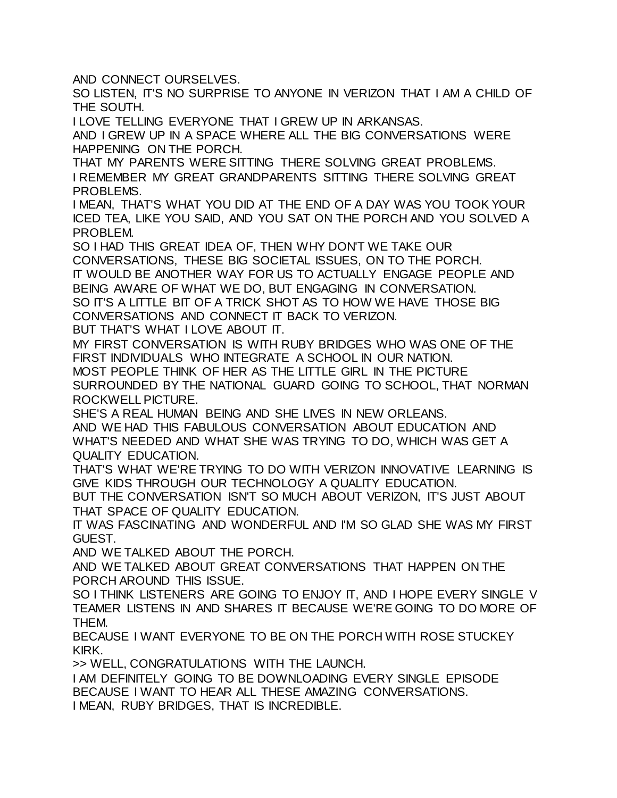AND CONNECT OURSELVES.

SO LISTEN, IT'S NO SURPRISE TO ANYONE IN VERIZON THAT I AM A CHILD OF THE SOUTH.

I LOVE TELLING EVERYONE THAT I GREW UP IN ARKANSAS.

AND I GREW UP IN A SPACE WHERE ALL THE BIG CONVERSATIONS WERE HAPPENING ON THE PORCH.

THAT MY PARENTS WERE SITTING THERE SOLVING GREAT PROBLEMS. I REMEMBER MY GREAT GRANDPARENTS SITTING THERE SOLVING GREAT PROBLEMS.

I MEAN, THAT'S WHAT YOU DID AT THE END OF A DAY WAS YOU TOOK YOUR ICED TEA, LIKE YOU SAID, AND YOU SAT ON THE PORCH AND YOU SOLVED A PROBLEM.

SO I HAD THIS GREAT IDEA OF, THEN WHY DON'T WE TAKE OUR CONVERSATIONS, THESE BIG SOCIETAL ISSUES, ON TO THE PORCH. IT WOULD BE ANOTHER WAY FOR US TO ACTUALLY ENGAGE PEOPLE AND BEING AWARE OF WHAT WE DO, BUT ENGAGING IN CONVERSATION. SO IT'S A LITTLE BIT OF A TRICK SHOT AS TO HOW WE HAVE THOSE BIG CONVERSATIONS AND CONNECT IT BACK TO VERIZON.

BUT THAT'S WHAT I LOVE ABOUT IT.

MY FIRST CONVERSATION IS WITH RUBY BRIDGES WHO WAS ONE OF THE FIRST INDIVIDUALS WHO INTEGRATE A SCHOOL IN OUR NATION. MOST PEOPLE THINK OF HER AS THE LITTLE GIRL IN THE PICTURE SURROUNDED BY THE NATIONAL GUARD GOING TO SCHOOL, THAT NORMAN ROCKWELL PICTURE.

SHE'S A REAL HUMAN BEING AND SHE LIVES IN NEW ORLEANS. AND WE HAD THIS FABULOUS CONVERSATION ABOUT EDUCATION AND WHAT'S NEEDED AND WHAT SHE WAS TRYING TO DO, WHICH WAS GET A QUALITY EDUCATION.

THAT'S WHAT WE'RE TRYING TO DO WITH VERIZON INNOVATIVE LEARNING IS GIVE KIDS THROUGH OUR TECHNOLOGY A QUALITY EDUCATION.

BUT THE CONVERSATION ISN'T SO MUCH ABOUT VERIZON, IT'S JUST ABOUT THAT SPACE OF QUALITY EDUCATION.

IT WAS FASCINATING AND WONDERFUL AND I'M SO GLAD SHE WAS MY FIRST GUEST.

AND WE TALKED ABOUT THE PORCH.

AND WE TALKED ABOUT GREAT CONVERSATIONS THAT HAPPEN ON THE PORCH AROUND THIS ISSUE.

SO I THINK LISTENERS ARE GOING TO ENJOY IT. AND I HOPE EVERY SINGLE V TEAMER LISTENS IN AND SHARES IT BECAUSE WE'RE GOING TO DO MORE OF THEM.

BECAUSE I WANT EVERYONE TO BE ON THE PORCH WITH ROSE STUCKEY KIRK.

>> WELL, CONGRATULATIONS WITH THE LAUNCH.

I AM DEFINITELY GOING TO BE DOWNLOADING EVERY SINGLE EPISODE BECAUSE I WANT TO HEAR ALL THESE AMAZING CONVERSATIONS. I MEAN, RUBY BRIDGES, THAT IS INCREDIBLE.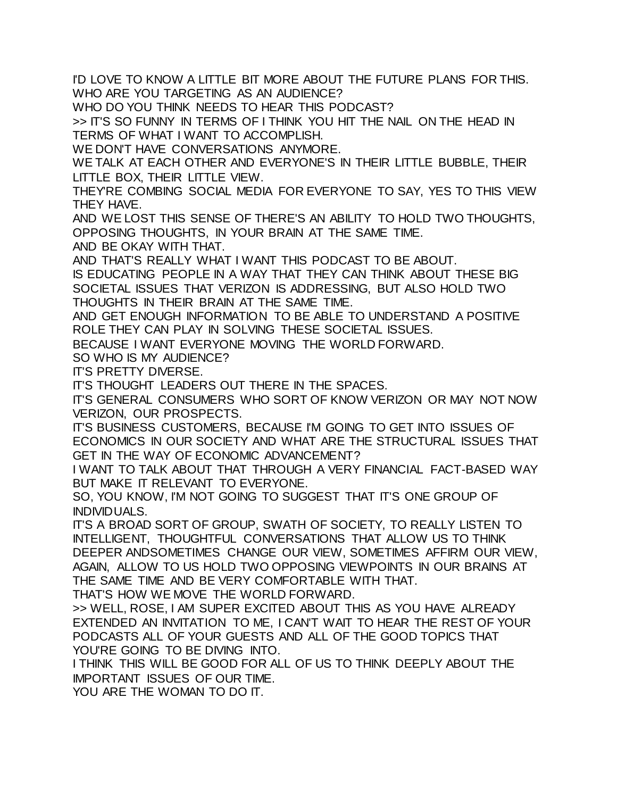I'D LOVE TO KNOW A LITTLE BIT MORE ABOUT THE FUTURE PLANS FOR THIS. WHO ARE YOU TARGETING AS AN AUDIENCE?

WHO DO YOU THINK NEEDS TO HEAR THIS PODCAST?

>> IT'S SO FUNNY IN TERMS OF I THINK YOU HIT THE NAIL ON THE HEAD IN TERMS OF WHAT I WANT TO ACCOMPLISH.

WE DON'T HAVE CONVERSATIONS ANYMORE.

WE TALK AT EACH OTHER AND EVERYONE'S IN THEIR LITTLE BUBBLE, THEIR LITTLE BOX, THEIR LITTLE VIEW.

THEY'RE COMBING SOCIAL MEDIA FOR EVERYONE TO SAY, YES TO THIS VIEW THEY HAVE.

AND WE LOST THIS SENSE OF THERE'S AN ABILITY TO HOLD TWO THOUGHTS, OPPOSING THOUGHTS, IN YOUR BRAIN AT THE SAME TIME.

AND BE OKAY WITH THAT.

AND THAT'S REALLY WHAT I WANT THIS PODCAST TO BE ABOUT.

IS EDUCATING PEOPLE IN A WAY THAT THEY CAN THINK ABOUT THESE BIG SOCIETAL ISSUES THAT VERIZON IS ADDRESSING, BUT ALSO HOLD TWO THOUGHTS IN THEIR BRAIN AT THE SAME TIME.

AND GET ENOUGH INFORMATION TO BE ABLE TO UNDERSTAND A POSITIVE ROLE THEY CAN PLAY IN SOLVING THESE SOCIETAL ISSUES.

BECAUSE I WANT EVERYONE MOVING THE WORLD FORWARD.

SO WHO IS MY AUDIENCE?

IT'S PRETTY DIVERSE.

IT'S THOUGHT LEADERS OUT THERE IN THE SPACES.

IT'S GENERAL CONSUMERS WHO SORT OF KNOW VERIZON OR MAY NOT NOW VERIZON, OUR PROSPECTS.

IT'S BUSINESS CUSTOMERS, BECAUSE I'M GOING TO GET INTO ISSUES OF ECONOMICS IN OUR SOCIETY AND WHAT ARE THE STRUCTURAL ISSUES THAT GET IN THE WAY OF ECONOMIC ADVANCEMENT?

I WANT TO TALK ABOUT THAT THROUGH A VERY FINANCIAL FACT-BASED WAY BUT MAKE IT RELEVANT TO EVERYONE.

SO, YOU KNOW, I'M NOT GOING TO SUGGEST THAT IT'S ONE GROUP OF INDIVIDUALS.

IT'S A BROAD SORT OF GROUP, SWATH OF SOCIETY, TO REALLY LISTEN TO INTELLIGENT, THOUGHTFUL CONVERSATIONS THAT ALLOW US TO THINK DEEPER ANDSOMETIMES CHANGE OUR VIEW, SOMETIMES AFFIRM OUR VIEW, AGAIN, ALLOW TO US HOLD TWO OPPOSING VIEWPOINTS IN OUR BRAINS AT THE SAME TIME AND BE VERY COMFORTABLE WITH THAT.

THAT'S HOW WE MOVE THE WORLD FORWARD.

>> WELL, ROSE, I AM SUPER EXCITED ABOUT THIS AS YOU HAVE ALREADY EXTENDED AN INVITATION TO ME, I CAN'T WAIT TO HEAR THE REST OF YOUR PODCASTS ALL OF YOUR GUESTS AND ALL OF THE GOOD TOPICS THAT YOU'RE GOING TO BE DIVING INTO.

I THINK THIS WILL BE GOOD FOR ALL OF US TO THINK DEEPLY ABOUT THE IMPORTANT ISSUES OF OUR TIME.

YOU ARE THE WOMAN TO DO IT.